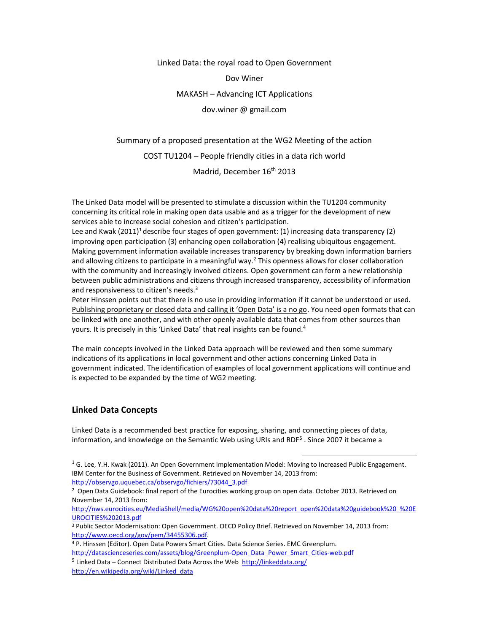Linked Data: the royal road to Open Government

Dov Winer

MAKASH – Advancing ICT Applications

dov.winer @ gmail.com

Summary of a proposed presentation at the WG2 Meeting of the action COST TU1204 – People friendly cities in a data rich world Madrid, December 16<sup>th</sup> 2013

The Linked Data model will be presented to stimulate a discussion within the TU1204 community concerning its critical role in making open data usable and as a trigger for the development of new services able to increase social cohesion and citizen's participation.

Lee and Kwak  $(2011)^1$  describe four stages of open government: (1) increasing data transparency (2) improving open participation (3) enhancing open collaboration (4) realising ubiquitous engagement. Making government information available increases transparency by breaking down information barriers and allowing citizens to participate in a meaningful way.<sup>2</sup> This openness allows for closer collaboration with the community and increasingly involved citizens. Open government can form a new relationship between public administrations and citizens through increased transparency, accessibility of information and responsiveness to citizen's needs.<sup>3</sup>

Peter Hinssen points out that there is no use in providing information if it cannot be understood or used. Publishing proprietary or closed data and calling it 'Open Data' is a no go. You need open formats that can be linked with one another, and with other openly available data that comes from other sources than yours. It is precisely in this 'Linked Data' that real insights can be found.<sup>4</sup>

The main concepts involved in the Linked Data approach will be reviewed and then some summary indications of its applications in local government and other actions concerning Linked Data in government indicated. The identification of examples of local government applications will continue and is expected to be expanded by the time of WG2 meeting.

### **Linked Data Concepts**

Linked Data is a recommended best practice for exposing, sharing, and connecting pieces of data, information, and knowledge on the Semantic Web using URIs and RDF<sup>5</sup>. Since 2007 it became a

 $\overline{a}$ 

[http://nws.eurocities.eu/MediaShell/media/WG%20open%20data%20report\\_open%20data%20guidebook%20\\_%20E](http://nws.eurocities.eu/MediaShell/media/WG%20open%20data%20report_open%20data%20guidebook%20_%20EUROCITIES%202013.pdf) [UROCITIES%202013.pdf](http://nws.eurocities.eu/MediaShell/media/WG%20open%20data%20report_open%20data%20guidebook%20_%20EUROCITIES%202013.pdf)

 $16$ . Lee, Y.H. Kwak (2011). An Open Government Implementation Model: Moving to Increased Public Engagement. IBM Center for the Business of Government. Retrieved on November 14, 2013 from: [http://observgo.uquebec.ca/observgo/fichiers/73044\\_3.pdf](http://observgo.uquebec.ca/observgo/fichiers/73044_3.pdf)

<sup>&</sup>lt;sup>2</sup> Open Data Guidebook: final report of the Eurocities working group on open data. October 2013. Retrieved on November 14, 2013 from:

<sup>3</sup> Public Sector Modernisation: Open Government. OECD Policy Brief. Retrieved on November 14, 2013 from: [http://www.oecd.org/gov/pem/34455306.pdf.](http://www.oecd.org/gov/pem/34455306.pdf)

<sup>4</sup> P. Hinssen (Editor). Open Data Powers Smart Cities. Data Science Series. EMC Greenplum. [http://datascienceseries.com/assets/blog/Greenplum-Open\\_Data\\_Power\\_Smart\\_Cities-web.pdf](http://datascienceseries.com/assets/blog/Greenplum-Open_Data_Power_Smart_Cities-web.pdf)

<sup>&</sup>lt;sup>5</sup> Linked Data – Connect Distributed Data Across the Web<http://linkeddata.org/> [http://en.wikipedia.org/wiki/Linked\\_data](http://en.wikipedia.org/wiki/Linked_data)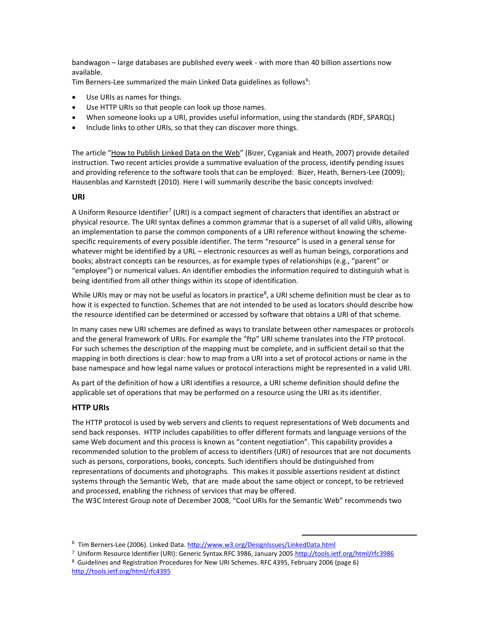bandwagon – large databases are published every week - with more than 40 billion assertions now available.

Tim Berners-Lee summarized the main Linked Data guidelines as follows<sup>6</sup>:

- Use URIs as names for things.
- Use HTTP URIs so that people can look up those names.
- When someone looks up a URI, provides useful information, using the standards (RDF, SPARQL)
- Include links to other URIs, so that they can discover more things.

The article "How to Publish Linked Data on the Web" (Bizer, Cyganiak and Heath, 2007) provide detailed instruction. Two recent articles provide a summative evaluation of the process, identify pending issues and providing reference to the software tools that can be employed: Bizer, Heath, Berners-Lee (2009); Hausenblas and Karnstedt (2010). Here I will summarily describe the basic concepts involved:

#### **URI**

A Uniform Resource Identifier<sup>7</sup> (URI) is a compact segment of characters that identifies an abstract or physical resource. The URI syntax defines a common grammar that is a superset of all valid URIs, allowing an implementation to parse the common components of a URI reference without knowing the schemespecific requirements of every possible identifier. The term "resource" is used in a general sense for whatever might be identified by a URL – electronic resources as well as human beings, corporations and books; abstract concepts can be resources, as for example types of relationships (e.g., "parent" or "employee") or numerical values. An identifier embodies the information required to distinguish what is being identified from all other things within its scope of identification.

While URIs may or may not be useful as locators in practice<sup>8</sup>, a URI scheme definition must be clear as to how it is expected to function. Schemes that are not intended to be used as locators should describe how the resource identified can be determined or accessed by software that obtains a URI of that scheme.

In many cases new URI schemes are defined as ways to translate between other namespaces or protocols and the general framework of URIs. For example the "ftp" URI scheme translates into the FTP protocol. For such schemes the description of the mapping must be complete, and in sufficient detail so that the mapping in both directions is clear: how to map from a URI into a set of protocol actions or name in the base namespace and how legal name values or protocol interactions might be represented in a valid URI.

As part of the definition of how a URI identifies a resource, a URI scheme definition should define the applicable set of operations that may be performed on a resource using the URI as its identifier.

### **HTTP URIs**

The HTTP protocol is used by web servers and clients to request representations of Web documents and send back responses. HTTP includes capabilities to offer different formats and language versions of the same Web document and this process is known as "content negotiation". This capability provides a recommended solution to the problem of access to identifiers (URI) of resources that are not documents such as persons, corporations, books, concepts. Such identifiers should be distinguished from representations of documents and photographs. This makes it possible assertions resident at distinct systems through the Semantic Web, that are made about the same object or concept, to be retrieved and processed, enabling the richness of services that may be offered.

The W3C Interest Group note of December 2008, "Cool URIs for the Semantic Web" recommends two

 $\overline{a}$ 

<sup>&</sup>lt;sup>6</sup> Tim Berners-Lee (2006). Linked Data.<http://www.w3.org/DesignIssues/LinkedData.html>

<sup>7</sup> Uniform Resource Identifier (URI): Generic Syntax.RFC 3986, January 200[5 http://tools.ietf.org/html/rfc3986](http://tools.ietf.org/html/rfc3986)

<sup>8</sup> Guidelines and Registration Procedures for New URI Schemes. RFC 4395, February 2006 (page 6) <http://tools.ietf.org/html/rfc4395>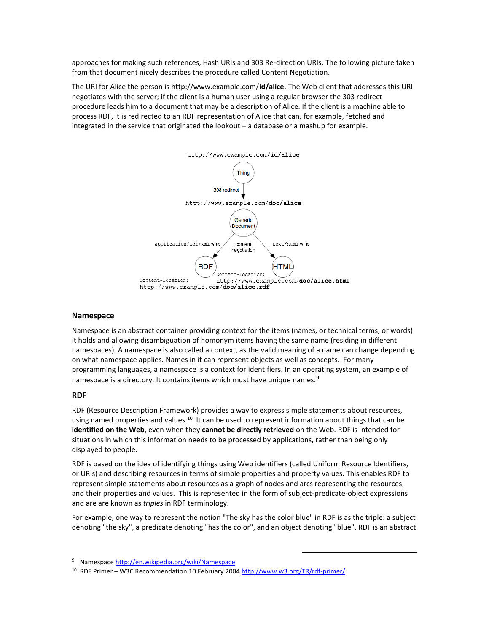approaches for making such references, Hash URIs and 303 Re-direction URIs. The following picture taken from that document nicely describes the procedure called Content Negotiation.

The URI for Alice the person is http://www.example.com/**id/alice.** The Web client that addresses this URI negotiates with the server; if the client is a human user using a regular browser the 303 redirect procedure leads him to a document that may be a description of Alice. If the client is a machine able to process RDF, it is redirected to an RDF representation of Alice that can, for example, fetched and integrated in the service that originated the lookout – a database or a mashup for example.



#### **Namespace**

Namespace is an abstract container providing context for the items (names, or technical terms, or words) it holds and allowing disambiguation o[f homonym](http://en.wikipedia.org/wiki/Homonym) items having the same name (residing in different namespaces). A namespace is also called a context, as the valid meaning of a name can change depending on what namespace applies. Names in it can represent objects as well as concepts. For many programming languages, a namespace is a context for identifiers. In an operating system, an example of namespace is a directory. It contains items which must have unique names.<sup>9</sup>

#### **RDF**

RDF (Resource Description Framework) provides a way to express simple statements about resources, using named properties and values.<sup>10</sup> It can be used to represent information about things that can be **identified on the Web**, even when they **cannot be directly retrieved** on the Web. RDF is intended for situations in which this information needs to be processed by applications, rather than being only displayed to people.

RDF is based on the idea of identifying things using Web identifiers (called Uniform Resource Identifiers, or URIs) and describing resources in terms of simple properties and property values. This enables RDF to represent simple statements about resources as a graph of nodes and arcs representing the resources, and their properties and values. This is represented in the form of subject-predicate-object expressions and are are known as *triples* in RDF terminology.

For example, one way to represent the notion "The sky has the color blue" in RDF is as the triple: a subject denoting "the sky", a predicate denoting "has the color", and an object denoting "blue". RDF is an abstract

 $\overline{a}$ 

<sup>10</sup> RDF Primer – W3C Recommendation 10 February 200[4 http://www.w3.org/TR/rdf-primer/](http://www.w3.org/TR/rdf-primer/)

<sup>&</sup>lt;sup>9</sup> Namespac[e http://en.wikipedia.org/wiki/Namespace](http://en.wikipedia.org/wiki/Namespace)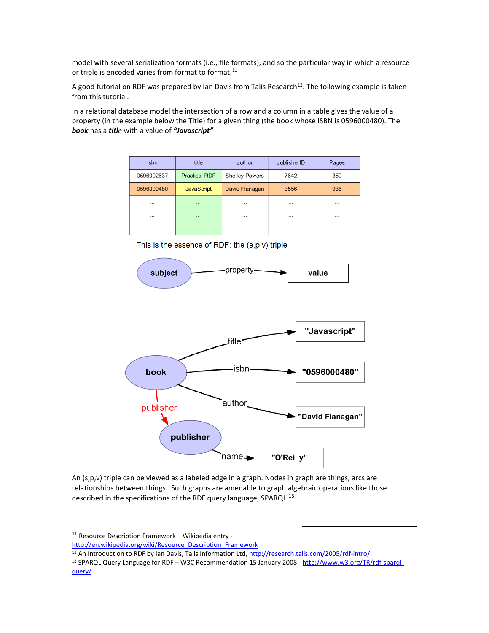model with several serialization formats (i.e., file formats), and so the particular way in which a resource or triple is encoded varies from format to format.<sup>11</sup>

A good tutorial on RDF was prepared by Ian Davis from Talis Research<sup>12</sup>. The following example is taken from this tutorial.

In a relational database model the intersection of a row and a column in a table gives the value of a property (in the example below the Title) for a given thing (the book whose ISBN is 0596000480). The *book* has a *title* with a value of *"Javascript"*

| isbn       | title                | author                | publisherID | Pages    |
|------------|----------------------|-----------------------|-------------|----------|
| 0596002637 | <b>Practical RDF</b> | <b>Shelley Powers</b> | 7642        | 350      |
| 0596000480 | <b>JavaScript</b>    | David Flanagan        | 3556        | 936      |
| $\cdots$   | $\sim$               | $\cdots$              | $\cdots$    | $\cdots$ |
| $\cdots$   | 1.11                 | $\cdots$              | $\cdots$    |          |
|            | 1.11                 |                       |             |          |

This is the essence of RDF: the (s,p,v) triple



An (s,p,v) triple can be viewed as a labeled edge in a graph. Nodes in graph are things, arcs are relationships between things. Such graphs are amenable to graph algebraic operations like those described in the specifications of the RDF query language, SPARQL<sup>13</sup>

<sup>11</sup> Resource Description Framework – Wikipedia entry -

[http://en.wikipedia.org/wiki/Resource\\_Description\\_Framework](http://en.wikipedia.org/wiki/Resource_Description_Framework)

<sup>13</sup> SPARQL Query Language for RDF – W3C Recommendation 15 January 2008 - [http://www.w3.org/TR/rdf-sparql](http://www.w3.org/TR/rdf-sparql-query/)[query/](http://www.w3.org/TR/rdf-sparql-query/)

 $\overline{a}$ 

<sup>&</sup>lt;sup>12</sup> An Introduction to RDF by Ian Davis, Talis Information Ltd,<http://research.talis.com/2005/rdf-intro/>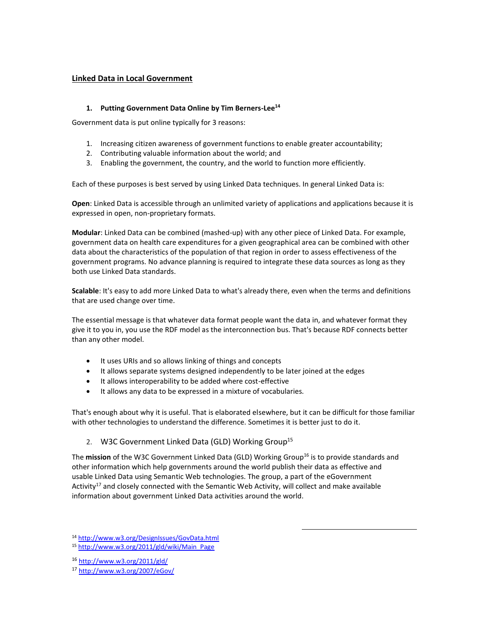## **Linked Data in Local Government**

### **1. Putting Government Data Online by Tim Berners-Lee<sup>14</sup>**

Government data is put online typically for 3 reasons:

- 1. Increasing citizen awareness of government functions to enable greater accountability;
- 2. Contributing valuable information about the world; and
- 3. Enabling the government, the country, and the world to function more efficiently.

Each of these purposes is best served by using Linked Data techniques. In general Linked Data is:

**Open**: Linked Data is accessible through an unlimited variety of applications and applications because it is expressed in open, non-proprietary formats.

**Modular**: Linked Data can be combined (mashed-up) with any other piece of Linked Data. For example, government data on health care expenditures for a given geographical area can be combined with other data about the characteristics of the population of that region in order to assess effectiveness of the government programs. No advance planning is required to integrate these data sources as long as they both use Linked Data standards.

**Scalable**: It's easy to add more Linked Data to what's already there, even when the terms and definitions that are used change over time.

The essential message is that whatever data format people want the data in, and whatever format they give it to you in, you use the RDF model as the interconnection bus. That's because RDF connects better than any other model.

- It uses URIs and so allows linking of things and concepts
- It allows separate systems designed independently to be later joined at the edges
- It allows interoperability to be added where cost-effective
- It allows any data to be expressed in a mixture of vocabularies.

That's enough about why it is useful. That is elaborated elsewhere, but it can be difficult for those familiar with other technologies to understand the difference. Sometimes it is better just to do it.

# 2. W3C Government Linked Data (GLD) Working Group<sup>15</sup>

The mission of the W3C Government Linked Data (GLD) Working Group<sup>16</sup> is to provide standards and other information which help governments around the world publish their data as effective and usable Linked Data using Semantic Web technologies. The group, a part of the eGovernment Activity<sup>17</sup> and closely connected with the Semantic Web Activity, will collect and make available information about government Linked Data activities around the world.

 $\overline{a}$ 

<sup>1</sup>[4](http://www.w3.org/DesignIssues/GovData.html) <http://www.w3.org/DesignIssues/GovData.html>

<sup>1</sup>[5](http://www.w3.org/2011/gld/wiki/Main_Page) [http://www.w3.org/2011/gld/wiki/Main\\_Page](http://www.w3.org/2011/gld/wiki/Main_Page)

<sup>1</sup>[6](http://www.w3.org/2011/gld/) <http://www.w3.org/2011/gld/>

<sup>1</sup>[7](http://www.w3.org/2007/eGov/) <http://www.w3.org/2007/eGov/>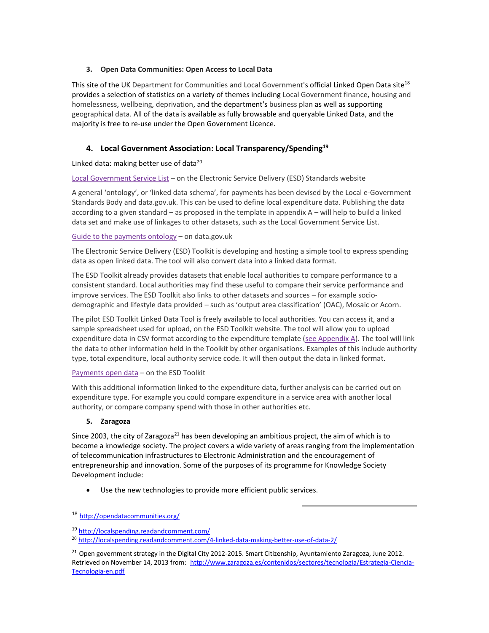### **3. Open Data Communities: Open Access to Local Data**

This site of the UK Department for Communities and Local Government's official Linked Open Data site<sup>18</sup> provides a selection of statistics on a variety of themes including Local Government finance, housing and homelessness, wellbeing, deprivation, and the department's business plan as well as supporting geographical data. All of the data is available as fully browsable and queryable Linked Data, and the majority is free to re-use under the Open Government Licence.

# **4. Local Government Association: Local Transparency/Spending<sup>19</sup>**

## Linked data: making better use of data $^{20}$

Local [Government](http://doc.esd.org.uk/LocalGovernmentServiceList/3.11.html) Service List – on the Electronic Service Delivery (ESD) Standards website

A general 'ontology', or 'linked data schema', for payments has been devised by the Local e-Government Standards Body and data.gov.uk. This can be used to define local expenditure data. Publishing the data according to a given standard – as proposed in the template in appendix A – will help to build a linked data set and make use of linkages to other datasets, such as the Local Government Service List.

### Guide to the [payments](http://data.gov.uk/resources/payments) ontology – on data.gov.uk

The Electronic Service Delivery (ESD) Toolkit is developing and hosting a simple tool to express spending data as open linked data. The tool will also convert data into a linked data format.

The ESD Toolkit already provides datasets that enable local authorities to compare performance to a consistent standard. Local authorities may find these useful to compare their service performance and improve services. The ESD Toolkit also links to other datasets and sources – for example sociodemographic and lifestyle data provided – such as 'output area classification' (OAC), Mosaic or Acorn.

The pilot ESD Toolkit Linked Data Tool is freely available to local authorities. You can access it, and a sample spreadsheet used for upload, on the ESD Toolkit website. The tool will allow you to upload expenditure data in CSV format according to the expenditure template (see [Appendix](http://localspending.readandcomment.com/4-linked-data-making-better-use-of-data-2/#id.5i5j1nfm7dn6) A). The tool will link the data to other information held in the Toolkit by other organisations. Examples of this include authority type, total expenditure, local authority service code. It will then output the data in linked format.

### [Payments](http://www.esd.org.uk/opendata) open data – on the ESD Toolkit

With this additional information linked to the expenditure data, further analysis can be carried out on expenditure type. For example you could compare expenditure in a service area with another local authority, or compare company spend with those in other authorities etc.

### **5. Zaragoza**

Since 2003, the city of Zaragoza<sup>21</sup> has been developing an ambitious project, the aim of which is to become a knowledge society. The project covers a wide variety of areas ranging from the implementation of telecommunication infrastructures to Electronic Administration and the encouragement of entrepreneurship and innovation. Some of the purposes of its programme for Knowledge Society Development include:

 $\overline{a}$ 

Use the new technologies to provide more efficient public services.

<sup>1</sup>[8](http://opendatacommunities.org/) <http://opendatacommunities.org/>

<sup>1</sup>[9](http://localspending.readandcomment.com/) <http://localspending.readandcomment.com/>

<sup>&</sup>lt;sup>2[0](http://localspending.readandcomment.com/4-linked-data-making-better-use-of-data-2/)</sup> <http://localspending.readandcomment.com/4-linked-data-making-better-use-of-data-2/>

<sup>&</sup>lt;sup>21</sup> Open government strategy in the Digital City 2012-2015. Smart Citizenship, Ayuntamiento Zaragoza, June 2012. Retrieved on November 14, 2013 from[: http://www.zaragoza.es/contenidos/sectores/tecnologia/Estrategia-Ciencia-](http://www.zaragoza.es/contenidos/sectores/tecnologia/Estrategia-Ciencia-Tecnologia-en.pdf)[Tecnologia-en.pdf](http://www.zaragoza.es/contenidos/sectores/tecnologia/Estrategia-Ciencia-Tecnologia-en.pdf)